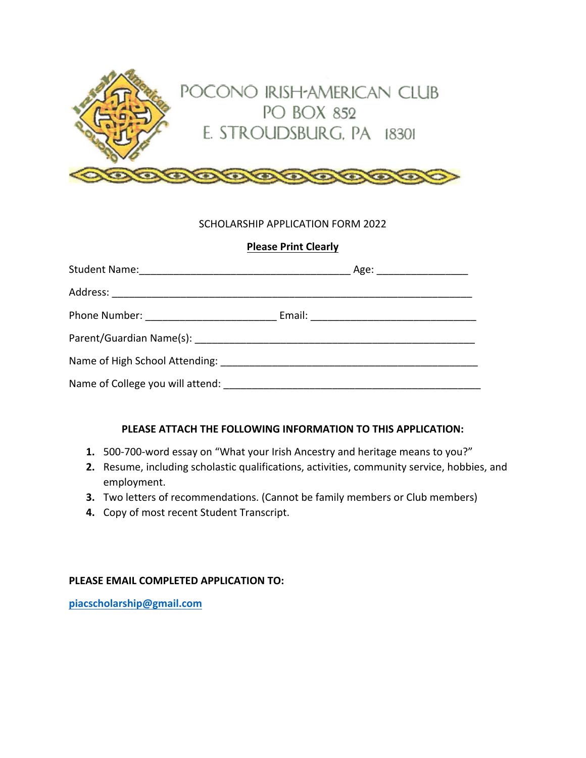

## SCHOLARSHIP APPLICATION FORM 2022

## **Please Print Clearly**

|                                                                   | Age: ____________________ |
|-------------------------------------------------------------------|---------------------------|
|                                                                   |                           |
|                                                                   |                           |
|                                                                   |                           |
|                                                                   |                           |
| Name of College you will attend: Name of College you will attend: |                           |

## **PLEASE ATTACH THE FOLLOWING INFORMATION TO THIS APPLICATION:**

- **1.** 500-700-word essay on "What your Irish Ancestry and heritage means to you?"
- **2.** Resume, including scholastic qualifications, activities, community service, hobbies, and employment.
- **3.** Two letters of recommendations. (Cannot be family members or Club members)
- **4.** Copy of most recent Student Transcript.

## **PLEASE EMAIL COMPLETED APPLICATION TO:**

**piacscholarship@gmail.com**